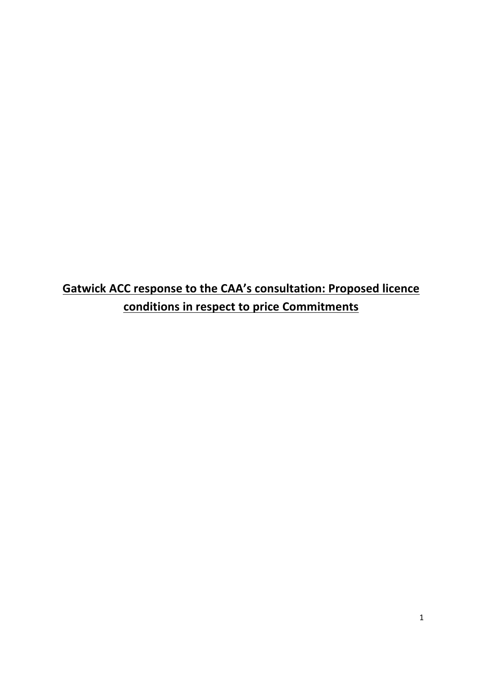**Gatwick ACC response to the CAA's consultation: Proposed licence conditions in respect to price Commitments**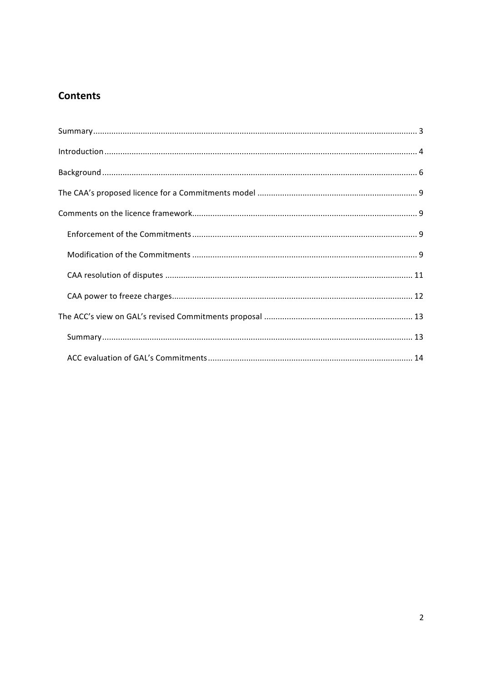# **Contents**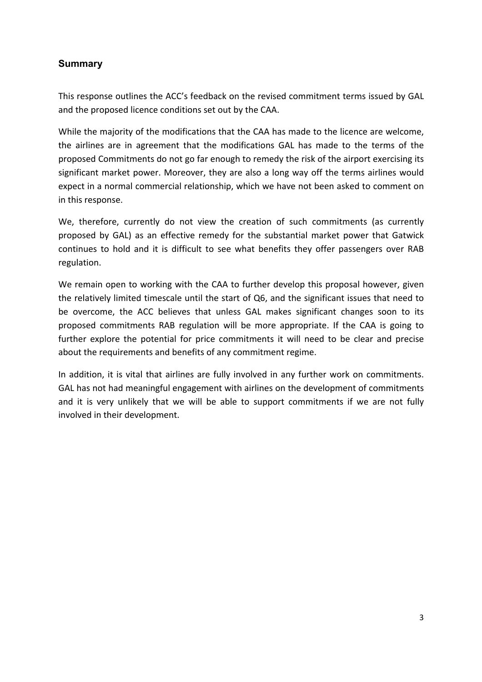## **Summary**

This response outlines the ACC's feedback on the revised commitment terms issued by GAL and the proposed licence conditions set out by the CAA.

While the majority of the modifications that the CAA has made to the licence are welcome, the airlines are in agreement that the modifications GAL has made to the terms of the proposed Commitments do not go far enough to remedy the risk of the airport exercising its significant market power. Moreover, they are also a long way off the terms airlines would expect in a normal commercial relationship, which we have not been asked to comment on in this response.

We, therefore, currently do not view the creation of such commitments (as currently proposed by GAL) as an effective remedy for the substantial market power that Gatwick continues to hold and it is difficult to see what benefits they offer passengers over RAB regulation. 

We remain open to working with the CAA to further develop this proposal however, given the relatively limited timescale until the start of Q6, and the significant issues that need to be overcome, the ACC believes that unless GAL makes significant changes soon to its proposed commitments RAB regulation will be more appropriate. If the CAA is going to further explore the potential for price commitments it will need to be clear and precise about the requirements and benefits of any commitment regime.

In addition, it is vital that airlines are fully involved in any further work on commitments. GAL has not had meaningful engagement with airlines on the development of commitments and it is very unlikely that we will be able to support commitments if we are not fully involved in their development.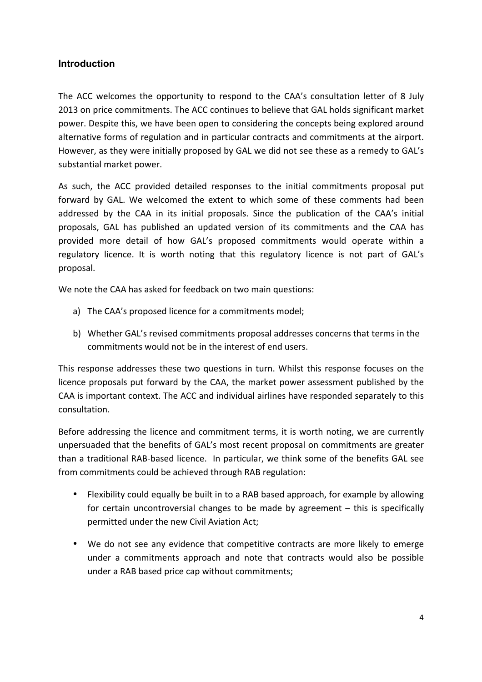## **Introduction**

The ACC welcomes the opportunity to respond to the CAA's consultation letter of 8 July 2013 on price commitments. The ACC continues to believe that GAL holds significant market power. Despite this, we have been open to considering the concepts being explored around alternative forms of regulation and in particular contracts and commitments at the airport. However, as they were initially proposed by GAL we did not see these as a remedy to GAL's substantial market power.

As such, the ACC provided detailed responses to the initial commitments proposal put forward by GAL. We welcomed the extent to which some of these comments had been addressed by the CAA in its initial proposals. Since the publication of the CAA's initial proposals. GAL has published an updated version of its commitments and the CAA has provided more detail of how GAL's proposed commitments would operate within a regulatory licence. It is worth noting that this regulatory licence is not part of GAL's proposal.

We note the CAA has asked for feedback on two main questions:

- a) The CAA's proposed licence for a commitments model;
- b) Whether GAL's revised commitments proposal addresses concerns that terms in the commitments would not be in the interest of end users.

This response addresses these two questions in turn. Whilst this response focuses on the licence proposals put forward by the CAA, the market power assessment published by the CAA is important context. The ACC and individual airlines have responded separately to this consultation.

Before addressing the licence and commitment terms, it is worth noting, we are currently unpersuaded that the benefits of GAL's most recent proposal on commitments are greater than a traditional RAB-based licence. In particular, we think some of the benefits GAL see from commitments could be achieved through RAB regulation:

- Flexibility could equally be built in to a RAB based approach, for example by allowing for certain uncontroversial changes to be made by agreement  $-$  this is specifically permitted under the new Civil Aviation Act:
- We do not see any evidence that competitive contracts are more likely to emerge under a commitments approach and note that contracts would also be possible under a RAB based price cap without commitments;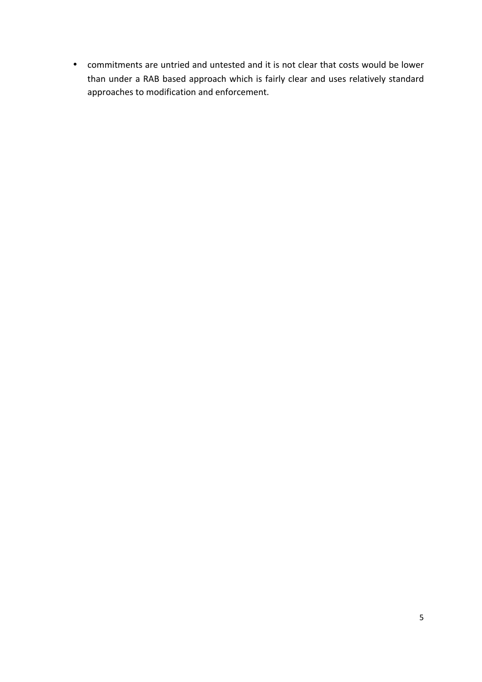• commitments are untried and untested and it is not clear that costs would be lower than under a RAB based approach which is fairly clear and uses relatively standard approaches to modification and enforcement.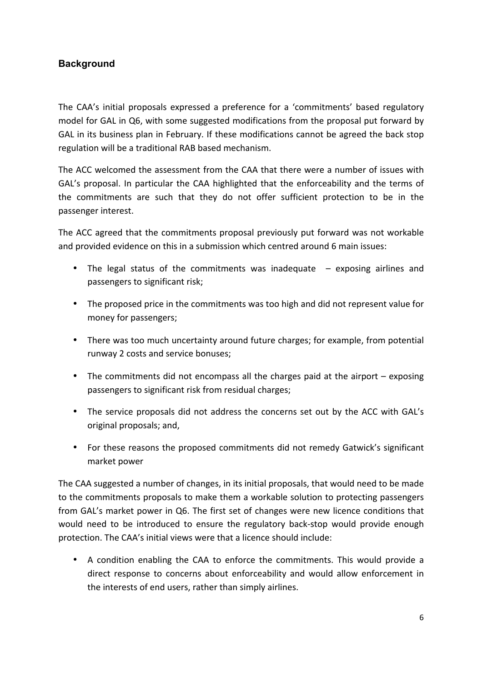## **Background**

The CAA's initial proposals expressed a preference for a 'commitments' based regulatory model for GAL in Q6, with some suggested modifications from the proposal put forward by GAL in its business plan in February. If these modifications cannot be agreed the back stop regulation will be a traditional RAB based mechanism.

The ACC welcomed the assessment from the CAA that there were a number of issues with GAL's proposal. In particular the CAA highlighted that the enforceability and the terms of the commitments are such that they do not offer sufficient protection to be in the passenger interest.

The ACC agreed that the commitments proposal previously put forward was not workable and provided evidence on this in a submission which centred around 6 main issues:

- The legal status of the commitments was inadequate  $-$  exposing airlines and passengers to significant risk;
- The proposed price in the commitments was too high and did not represent value for money for passengers;
- There was too much uncertainty around future charges; for example, from potential runway 2 costs and service bonuses;
- The commitments did not encompass all the charges paid at the airport exposing passengers to significant risk from residual charges;
- The service proposals did not address the concerns set out by the ACC with GAL's original proposals; and,
- For these reasons the proposed commitments did not remedy Gatwick's significant market power

The CAA suggested a number of changes, in its initial proposals, that would need to be made to the commitments proposals to make them a workable solution to protecting passengers from GAL's market power in Q6. The first set of changes were new licence conditions that would need to be introduced to ensure the regulatory back-stop would provide enough protection. The CAA's initial views were that a licence should include:

• A condition enabling the CAA to enforce the commitments. This would provide a direct response to concerns about enforceability and would allow enforcement in the interests of end users, rather than simply airlines.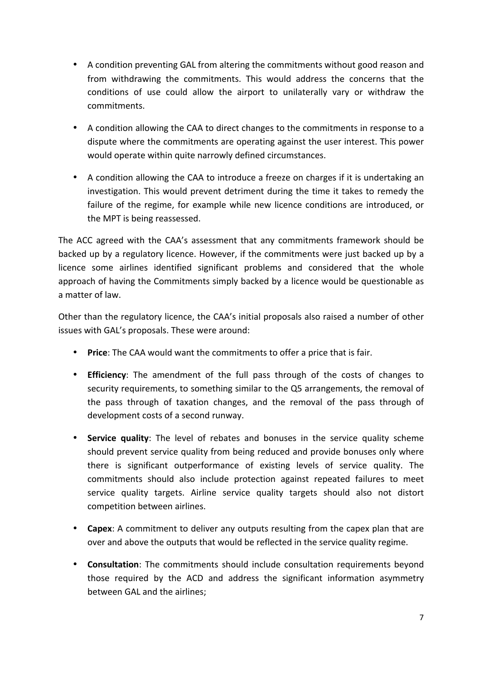- A condition preventing GAL from altering the commitments without good reason and from withdrawing the commitments. This would address the concerns that the conditions of use could allow the airport to unilaterally vary or withdraw the commitments.
- A condition allowing the CAA to direct changes to the commitments in response to a dispute where the commitments are operating against the user interest. This power would operate within quite narrowly defined circumstances.
- A condition allowing the CAA to introduce a freeze on charges if it is undertaking an investigation. This would prevent detriment during the time it takes to remedy the failure of the regime, for example while new licence conditions are introduced, or the MPT is being reassessed.

The ACC agreed with the CAA's assessment that any commitments framework should be backed up by a regulatory licence. However, if the commitments were just backed up by a licence some airlines identified significant problems and considered that the whole approach of having the Commitments simply backed by a licence would be questionable as a matter of law.

Other than the regulatory licence, the CAA's initial proposals also raised a number of other issues with GAL's proposals. These were around:

- **Price**: The CAA would want the commitments to offer a price that is fair.
- **Efficiency**: The amendment of the full pass through of the costs of changes to security requirements, to something similar to the Q5 arrangements, the removal of the pass through of taxation changes, and the removal of the pass through of development costs of a second runway.
- **Service quality**: The level of rebates and bonuses in the service quality scheme should prevent service quality from being reduced and provide bonuses only where there is significant outperformance of existing levels of service quality. The commitments should also include protection against repeated failures to meet service quality targets. Airline service quality targets should also not distort competition between airlines.
- **Capex**: A commitment to deliver any outputs resulting from the capex plan that are over and above the outputs that would be reflected in the service quality regime.
- **Consultation**: The commitments should include consultation requirements beyond those required by the ACD and address the significant information asymmetry between GAL and the airlines: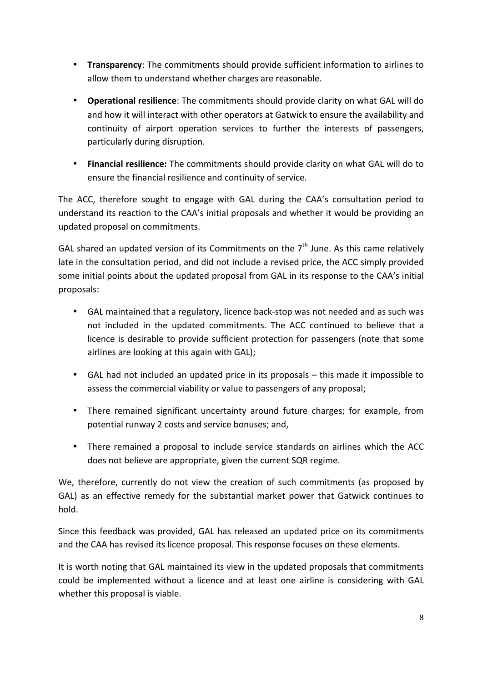- **Transparency**: The commitments should provide sufficient information to airlines to allow them to understand whether charges are reasonable.
- Operational resilience: The commitments should provide clarity on what GAL will do and how it will interact with other operators at Gatwick to ensure the availability and continuity of airport operation services to further the interests of passengers, particularly during disruption.
- Financial resilience: The commitments should provide clarity on what GAL will do to ensure the financial resilience and continuity of service.

The ACC, therefore sought to engage with GAL during the CAA's consultation period to understand its reaction to the CAA's initial proposals and whether it would be providing an updated proposal on commitments.

GAL shared an updated version of its Commitments on the  $7<sup>th</sup>$  June. As this came relatively late in the consultation period, and did not include a revised price, the ACC simply provided some initial points about the updated proposal from GAL in its response to the CAA's initial proposals:

- GAL maintained that a regulatory, licence back-stop was not needed and as such was not included in the updated commitments. The ACC continued to believe that a licence is desirable to provide sufficient protection for passengers (note that some airlines are looking at this again with GAL);
- GAL had not included an updated price in its proposals  $-$  this made it impossible to assess the commercial viability or value to passengers of any proposal;
- There remained significant uncertainty around future charges; for example, from potential runway 2 costs and service bonuses; and,
- There remained a proposal to include service standards on airlines which the ACC does not believe are appropriate, given the current SQR regime.

We, therefore, currently do not view the creation of such commitments (as proposed by GAL) as an effective remedy for the substantial market power that Gatwick continues to hold. 

Since this feedback was provided, GAL has released an updated price on its commitments and the CAA has revised its licence proposal. This response focuses on these elements.

It is worth noting that GAL maintained its view in the updated proposals that commitments could be implemented without a licence and at least one airline is considering with GAL whether this proposal is viable.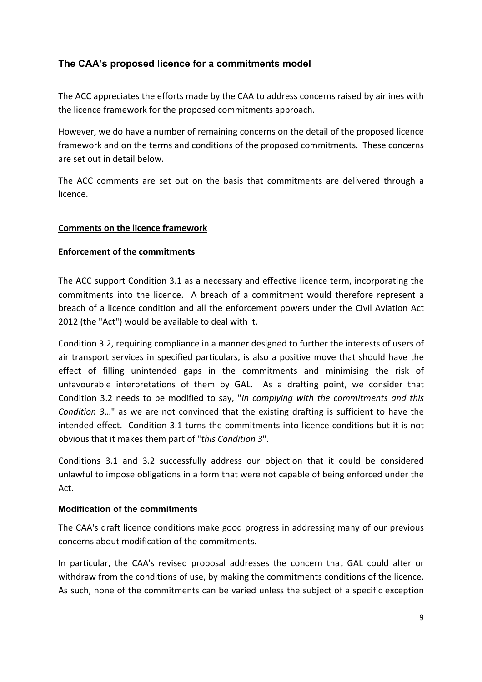## **The CAA's proposed licence for a commitments model**

The ACC appreciates the efforts made by the CAA to address concerns raised by airlines with the licence framework for the proposed commitments approach.

However, we do have a number of remaining concerns on the detail of the proposed licence framework and on the terms and conditions of the proposed commitments. These concerns are set out in detail below.

The ACC comments are set out on the basis that commitments are delivered through a licence.

### **Comments on the licence framework**

### **Enforcement of the commitments**

The ACC support Condition 3.1 as a necessary and effective licence term, incorporating the commitments into the licence. A breach of a commitment would therefore represent a breach of a licence condition and all the enforcement powers under the Civil Aviation Act 2012 (the "Act") would be available to deal with it.

Condition 3.2, requiring compliance in a manner designed to further the interests of users of air transport services in specified particulars, is also a positive move that should have the effect of filling unintended gaps in the commitments and minimising the risk of unfavourable interpretations of them by GAL. As a drafting point, we consider that Condition 3.2 needs to be modified to say, "*In complying with the commitments and this Condition* 3..." as we are not convinced that the existing drafting is sufficient to have the intended effect. Condition 3.1 turns the commitments into licence conditions but it is not obvious that it makes them part of "this Condition 3".

Conditions 3.1 and 3.2 successfully address our objection that it could be considered unlawful to impose obligations in a form that were not capable of being enforced under the Act.

### **Modification of the commitments**

The CAA's draft licence conditions make good progress in addressing many of our previous concerns about modification of the commitments. 

In particular, the CAA's revised proposal addresses the concern that GAL could alter or withdraw from the conditions of use, by making the commitments conditions of the licence. As such, none of the commitments can be varied unless the subject of a specific exception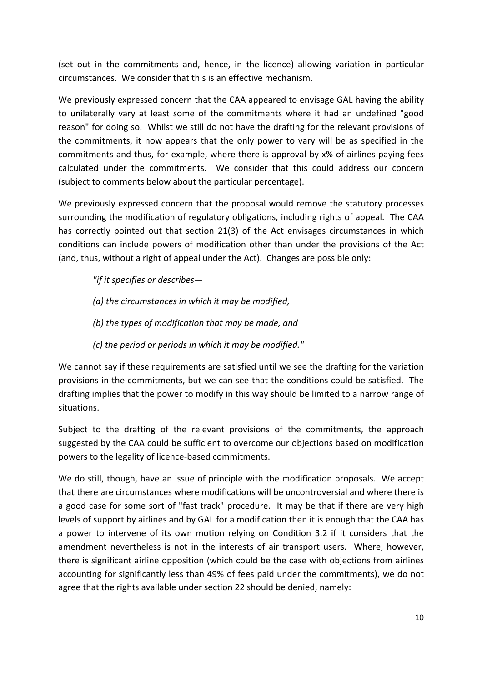(set out in the commitments and, hence, in the licence) allowing variation in particular circumstances. We consider that this is an effective mechanism.

We previously expressed concern that the CAA appeared to envisage GAL having the ability to unilaterally vary at least some of the commitments where it had an undefined "good reason" for doing so. Whilst we still do not have the drafting for the relevant provisions of the commitments, it now appears that the only power to vary will be as specified in the commitments and thus, for example, where there is approval by x% of airlines paying fees calculated under the commitments. We consider that this could address our concern (subject to comments below about the particular percentage).

We previously expressed concern that the proposal would remove the statutory processes surrounding the modification of regulatory obligations, including rights of appeal. The CAA has correctly pointed out that section 21(3) of the Act envisages circumstances in which conditions can include powers of modification other than under the provisions of the Act (and, thus, without a right of appeal under the Act). Changes are possible only:

*"if it specifies or describes—*

- *(a) the circumstances in which it may be modified,*
- *(b)* the types of modification that may be made, and
- *(c)* the period or periods in which it may be modified."

We cannot say if these requirements are satisfied until we see the drafting for the variation provisions in the commitments, but we can see that the conditions could be satisfied. The drafting implies that the power to modify in this way should be limited to a narrow range of situations.

Subject to the drafting of the relevant provisions of the commitments, the approach suggested by the CAA could be sufficient to overcome our objections based on modification powers to the legality of licence-based commitments.

We do still, though, have an issue of principle with the modification proposals. We accept that there are circumstances where modifications will be uncontroversial and where there is a good case for some sort of "fast track" procedure. It may be that if there are very high levels of support by airlines and by GAL for a modification then it is enough that the CAA has a power to intervene of its own motion relying on Condition 3.2 if it considers that the amendment nevertheless is not in the interests of air transport users. Where, however, there is significant airline opposition (which could be the case with objections from airlines accounting for significantly less than 49% of fees paid under the commitments), we do not agree that the rights available under section 22 should be denied, namely: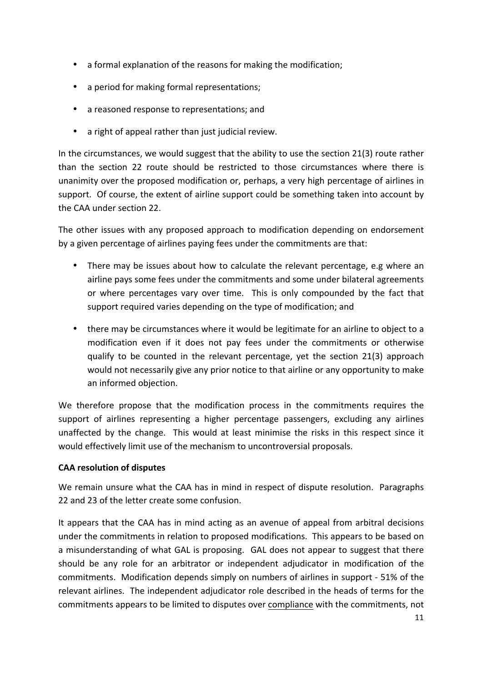- a formal explanation of the reasons for making the modification;
- a period for making formal representations;
- a reasoned response to representations; and
- a right of appeal rather than just judicial review.

In the circumstances, we would suggest that the ability to use the section 21(3) route rather than the section 22 route should be restricted to those circumstances where there is unanimity over the proposed modification or, perhaps, a very high percentage of airlines in support. Of course, the extent of airline support could be something taken into account by the CAA under section 22.

The other issues with any proposed approach to modification depending on endorsement by a given percentage of airlines paying fees under the commitments are that:

- There may be issues about how to calculate the relevant percentage, e.g where an airline pays some fees under the commitments and some under bilateral agreements or where percentages vary over time. This is only compounded by the fact that support required varies depending on the type of modification; and
- there may be circumstances where it would be legitimate for an airline to object to a modification even if it does not pay fees under the commitments or otherwise qualify to be counted in the relevant percentage, yet the section  $21(3)$  approach would not necessarily give any prior notice to that airline or any opportunity to make an informed objection.

We therefore propose that the modification process in the commitments requires the support of airlines representing a higher percentage passengers, excluding any airlines unaffected by the change. This would at least minimise the risks in this respect since it would effectively limit use of the mechanism to uncontroversial proposals.

### **CAA resolution of disputes**

We remain unsure what the CAA has in mind in respect of dispute resolution. Paragraphs 22 and 23 of the letter create some confusion.

It appears that the CAA has in mind acting as an avenue of appeal from arbitral decisions under the commitments in relation to proposed modifications. This appears to be based on a misunderstanding of what GAL is proposing. GAL does not appear to suggest that there should be any role for an arbitrator or independent adjudicator in modification of the commitments. Modification depends simply on numbers of airlines in support - 51% of the relevant airlines. The independent adjudicator role described in the heads of terms for the commitments appears to be limited to disputes over compliance with the commitments, not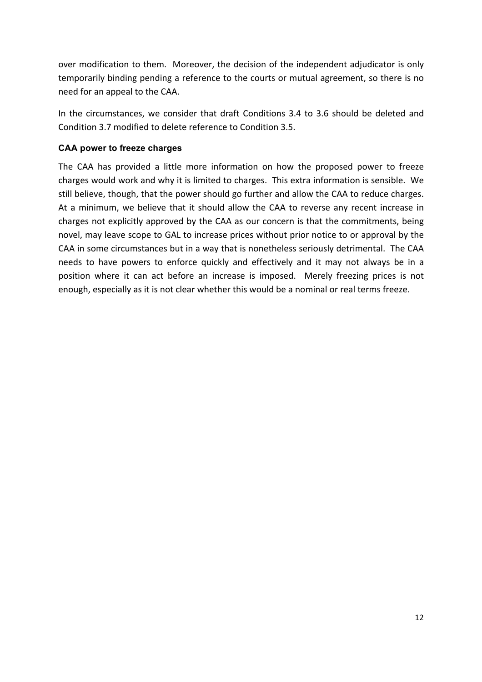over modification to them. Moreover, the decision of the independent adjudicator is only temporarily binding pending a reference to the courts or mutual agreement, so there is no need for an appeal to the CAA.

In the circumstances, we consider that draft Conditions 3.4 to 3.6 should be deleted and Condition 3.7 modified to delete reference to Condition 3.5.

### **CAA power to freeze charges**

The CAA has provided a little more information on how the proposed power to freeze charges would work and why it is limited to charges. This extra information is sensible. We still believe, though, that the power should go further and allow the CAA to reduce charges. At a minimum, we believe that it should allow the CAA to reverse any recent increase in charges not explicitly approved by the CAA as our concern is that the commitments, being novel, may leave scope to GAL to increase prices without prior notice to or approval by the CAA in some circumstances but in a way that is nonetheless seriously detrimental. The CAA needs to have powers to enforce quickly and effectively and it may not always be in a position where it can act before an increase is imposed. Merely freezing prices is not enough, especially as it is not clear whether this would be a nominal or real terms freeze.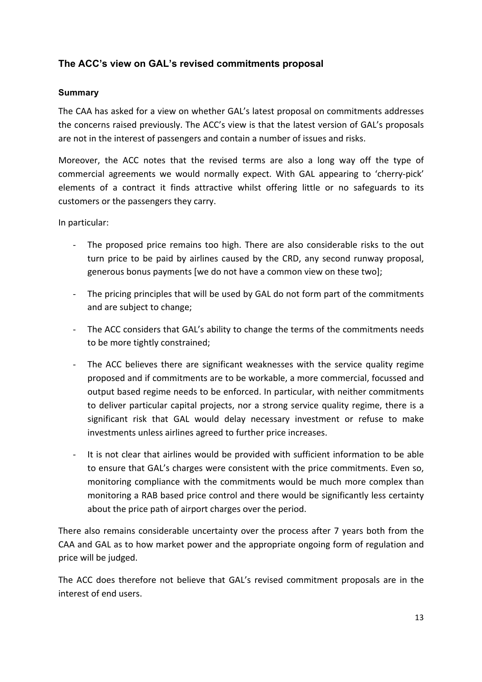## **The ACC's view on GAL's revised commitments proposal**

### **Summary**

The CAA has asked for a view on whether GAL's latest proposal on commitments addresses the concerns raised previously. The ACC's view is that the latest version of GAL's proposals are not in the interest of passengers and contain a number of issues and risks.

Moreover, the ACC notes that the revised terms are also a long way off the type of commercial agreements we would normally expect. With GAL appearing to 'cherry-pick' elements of a contract it finds attractive whilst offering little or no safeguards to its customers or the passengers they carry.

In particular:

- The proposed price remains too high. There are also considerable risks to the out turn price to be paid by airlines caused by the CRD, any second runway proposal, generous bonus payments [we do not have a common view on these two];
- The pricing principles that will be used by GAL do not form part of the commitments and are subject to change;
- The ACC considers that GAL's ability to change the terms of the commitments needs to be more tightly constrained;
- The ACC believes there are significant weaknesses with the service quality regime proposed and if commitments are to be workable, a more commercial, focussed and output based regime needs to be enforced. In particular, with neither commitments to deliver particular capital projects, nor a strong service quality regime, there is a significant risk that GAL would delay necessary investment or refuse to make investments unless airlines agreed to further price increases.
- It is not clear that airlines would be provided with sufficient information to be able to ensure that GAL's charges were consistent with the price commitments. Even so, monitoring compliance with the commitments would be much more complex than monitoring a RAB based price control and there would be significantly less certainty about the price path of airport charges over the period.

There also remains considerable uncertainty over the process after 7 years both from the CAA and GAL as to how market power and the appropriate ongoing form of regulation and price will be judged.

The ACC does therefore not believe that GAL's revised commitment proposals are in the interest of end users.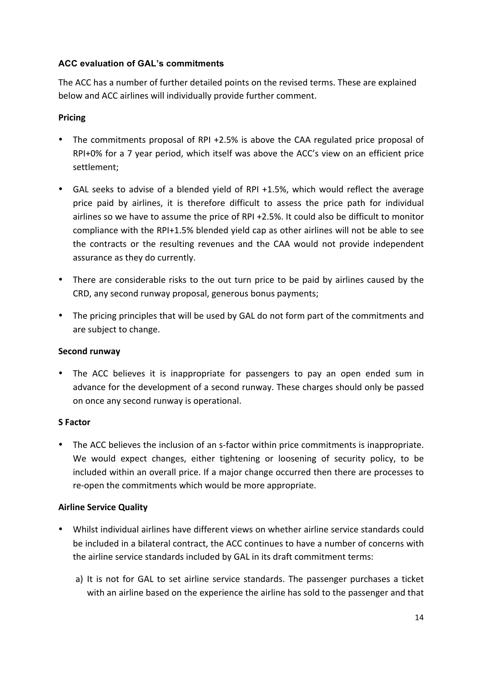### **ACC evaluation of GAL's commitments**

The ACC has a number of further detailed points on the revised terms. These are explained below and ACC airlines will individually provide further comment.

## **Pricing**

- The commitments proposal of RPI +2.5% is above the CAA regulated price proposal of RPI+0% for a 7 year period, which itself was above the ACC's view on an efficient price settlement;
- GAL seeks to advise of a blended yield of RPI +1.5%, which would reflect the average price paid by airlines, it is therefore difficult to assess the price path for individual airlines so we have to assume the price of RPI +2.5%. It could also be difficult to monitor compliance with the RPI+1.5% blended yield cap as other airlines will not be able to see the contracts or the resulting revenues and the CAA would not provide independent assurance as they do currently.
- There are considerable risks to the out turn price to be paid by airlines caused by the CRD, any second runway proposal, generous bonus payments;
- The pricing principles that will be used by GAL do not form part of the commitments and are subject to change.

### **Second runway**

• The ACC believes it is inappropriate for passengers to pay an open ended sum in advance for the development of a second runway. These charges should only be passed on once any second runway is operational.

### **S Factor**

• The ACC believes the inclusion of an s-factor within price commitments is inappropriate. We would expect changes, either tightening or loosening of security policy, to be included within an overall price. If a major change occurred then there are processes to re-open the commitments which would be more appropriate.

### **Airline Service Quality**

- Whilst individual airlines have different views on whether airline service standards could be included in a bilateral contract, the ACC continues to have a number of concerns with the airline service standards included by GAL in its draft commitment terms:
	- a) It is not for GAL to set airline service standards. The passenger purchases a ticket with an airline based on the experience the airline has sold to the passenger and that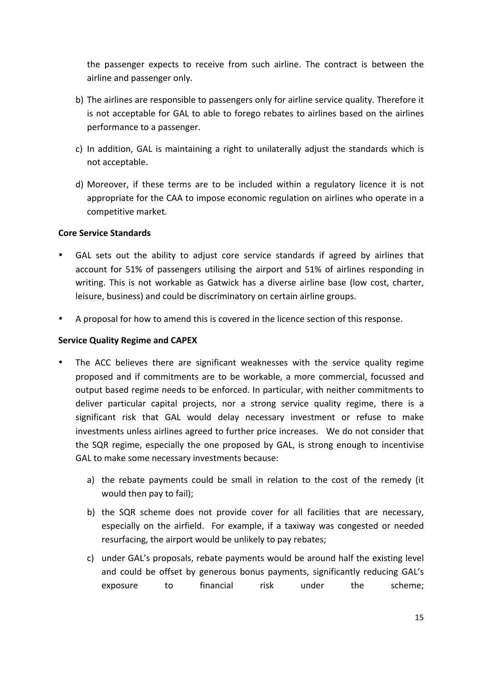the passenger expects to receive from such airline. The contract is between the airline and passenger only.

- b) The airlines are responsible to passengers only for airline service quality. Therefore it is not acceptable for GAL to able to forego rebates to airlines based on the airlines performance to a passenger.
- c) In addition, GAL is maintaining a right to unilaterally adjust the standards which is not acceptable.
- d) Moreover, if these terms are to be included within a regulatory licence it is not appropriate for the CAA to impose economic regulation on airlines who operate in a competitive market.

#### **Core Service Standards**

- GAL sets out the ability to adjust core service standards if agreed by airlines that account for 51% of passengers utilising the airport and 51% of airlines responding in writing. This is not workable as Gatwick has a diverse airline base (low cost, charter, leisure, business) and could be discriminatory on certain airline groups.
- A proposal for how to amend this is covered in the licence section of this response.

#### **Service Quality Regime and CAPEX**

- The ACC believes there are significant weaknesses with the service quality regime proposed and if commitments are to be workable, a more commercial, focussed and output based regime needs to be enforced. In particular, with neither commitments to deliver particular capital projects, nor a strong service quality regime, there is a significant risk that GAL would delay necessary investment or refuse to make investments unless airlines agreed to further price increases. We do not consider that the SQR regime, especially the one proposed by GAL, is strong enough to incentivise GAL to make some necessary investments because:
	- a) the rebate payments could be small in relation to the cost of the remedy (it would then pay to fail);
	- b) the SQR scheme does not provide cover for all facilities that are necessary, especially on the airfield. For example, if a taxiway was congested or needed resurfacing, the airport would be unlikely to pay rebates;
	- c) under GAL's proposals, rebate payments would be around half the existing level and could be offset by generous bonus payments, significantly reducing GAL's exposure to financial risk under the scheme;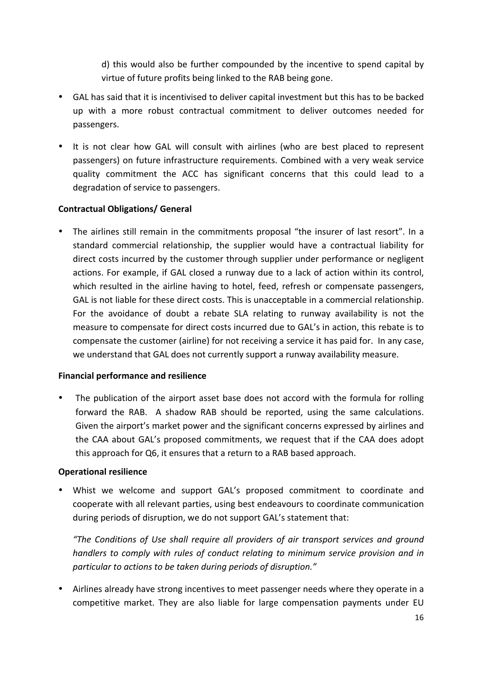d) this would also be further compounded by the incentive to spend capital by virtue of future profits being linked to the RAB being gone.

- GAL has said that it is incentivised to deliver capital investment but this has to be backed up with a more robust contractual commitment to deliver outcomes needed for passengers.
- It is not clear how GAL will consult with airlines (who are best placed to represent passengers) on future infrastructure requirements. Combined with a very weak service quality commitment the ACC has significant concerns that this could lead to a degradation of service to passengers.

#### **Contractual Obligations/ General**

• The airlines still remain in the commitments proposal "the insurer of last resort". In a standard commercial relationship, the supplier would have a contractual liability for direct costs incurred by the customer through supplier under performance or negligent actions. For example, if GAL closed a runway due to a lack of action within its control, which resulted in the airline having to hotel, feed, refresh or compensate passengers, GAL is not liable for these direct costs. This is unacceptable in a commercial relationship. For the avoidance of doubt a rebate SLA relating to runway availability is not the measure to compensate for direct costs incurred due to GAL's in action, this rebate is to compensate the customer (airline) for not receiving a service it has paid for. In any case, we understand that GAL does not currently support a runway availability measure.

#### **Financial performance and resilience**

The publication of the airport asset base does not accord with the formula for rolling forward the RAB. A shadow RAB should be reported, using the same calculations. Given the airport's market power and the significant concerns expressed by airlines and the CAA about GAL's proposed commitments, we request that if the CAA does adopt this approach for Q6, it ensures that a return to a RAB based approach.

#### **Operational resilience**

• Whist we welcome and support GAL's proposed commitment to coordinate and cooperate with all relevant parties, using best endeavours to coordinate communication during periods of disruption, we do not support GAL's statement that:

"The Conditions of Use shall require all providers of air transport services and ground *handlers* to comply with rules of conduct relating to minimum service provision and in particular to actions to be taken during periods of disruption."

• Airlines already have strong incentives to meet passenger needs where they operate in a competitive market. They are also liable for large compensation payments under EU